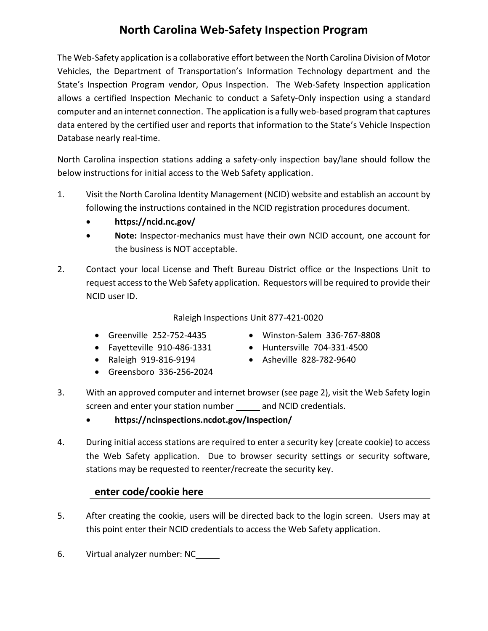## **North Carolina Web-Safety Inspection Program**

The Web-Safety application is a collaborative effort between the North Carolina Division of Motor Vehicles, the Department of Transportation's Information Technology department and the State's Inspection Program vendor, Opus Inspection. The Web-Safety Inspection application allows a certified Inspection Mechanic to conduct a Safety-Only inspection using a standard computer and an internet connection. The application is a fully web-based program that captures data entered by the certified user and reports that information to the State's Vehicle Inspection Database nearly real-time.

North Carolina inspection stations adding a safety-only inspection bay/lane should follow the below instructions for initial access to the Web Safety application.

- 1. Visit the North Carolina Identity Management (NCID) website and establish an account by following the instructions contained in the NCID registration procedures document.
	- **https://ncid.nc.gov/**
	- **Note:** Inspector-mechanics must have their own NCID account, one account for the business is NOT acceptable.
- 2. Contact your local License and Theft Bureau District office or the Inspections Unit to request access to the Web Safety application. Requestors will be required to provide their NCID user ID.

## Raleigh Inspections Unit 877-421-0020

- 
- 

Greensboro 336-256-2024

- 
- Greenville 252-752-4435 Winston-Salem 336-767-8808
- Fayetteville 910-486-1331 Huntersville 704-331-4500
- Raleigh 919-816-9194 Asheville 828-782-9640
- 3. With an approved computer and internet browser (see page 2), visit the Web Safety login screen and enter your station number \_\_\_\_\_ and NCID credentials.
	- **https://ncinspections.ncdot.gov/Inspection/**
- 4. During initial access stations are required to enter a security key (create cookie) to access the Web Safety application. Due to browser security settings or security software, stations may be requested to reenter/recreate the security key.

## **enter code/cookie here**

- 5. After creating the cookie, users will be directed back to the login screen. Users may at this point enter their NCID credentials to access the Web Safety application.
- 6. Virtual analyzer number: NC